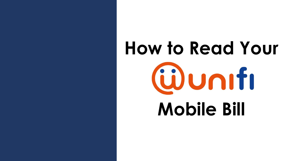# **How to Read Your** Wuniti **Mobile Bill**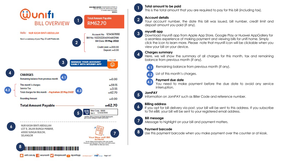

#### **1 Total amount to be paid**

This is the total amount that you are required to pay for this bill (including tax).

## **2 Account details**

Your account number, the date this bill was issued, bill number, credit limit and deposit amount you paid (if any).

## **3 myunifi app**

Download myunifi app from Apple App Store, Google Play or Huawei AppGallery for a seamless experience of making payment and viewing bills for unifi home. Simply click the icon to learn more. Please note that myunifi icon will be clickable when you view your bill on your device.

## **4 Charges summary**

Here, we will show the summary of all charges for this month, tax and remaining balance from previous month (if any).



Remaining balance from previous month (if any). **4.1**

List of this month's charges. **4.2**

### **Payment due date**

You need to make payment before the due date to avoid any service interruption. **4.3**



**7**

Information on JomPAY such as Biller Code and reference number.

**6 Billing address**<br> **1 Billing address**<br>
If you opt for bill delivery via post, your bill will be sent to this address. If you subscribe to TM eBill, your bill will be sent to your registered email address.

## **Bill message**

Message to highlight on your bill and payment matters.

## **Payment barcode**

**7 8** Use this payment barcode when you make payment over the counter or at kiosk.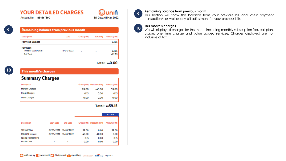## **YOUR DETAILED CHARGES**

**Account No: 1234567890** 



| Remaining balance from previous month |  |      |          |
|---------------------------------------|--|------|----------|
| Description                           |  | Date | Gross (R |

| <b>Previous Balance</b>                      | $\overline{\phantom{a}}$ | $\overline{\phantom{a}}$ | ٠ | 62.55    |
|----------------------------------------------|--------------------------|--------------------------|---|----------|
| <b>Payment</b><br><b>IPAY88 - AUTO DEBIT</b> | TV 04/2022               | -                        | ۰ | $-62.55$ |
| Sub Total:                                   |                          |                          |   | $-62.55$ |
|                                              |                          |                          |   |          |

Gross (RM)

#### Total: BMO.00

Tax (RM) Amount (RM)

(ü)unıfı Bill Date: 01 May 2022

| This month's charges   |       |                          |             |  |  |
|------------------------|-------|--------------------------|-------------|--|--|
| <b>Summary Charges</b> |       |                          |             |  |  |
| Description            |       | Gross (RM) Discount (RM) | Amount (RM) |  |  |
| <b>Monthly Charges</b> | 99.00 | $-40.00$                 | 59.00       |  |  |
| <b>Usage Charges</b>   | 0.15  | 0.00                     | 0.15        |  |  |
| Other Charges          | 0.00  | 0.00                     | 0.00        |  |  |

#### Total: BM59.15

|                          |                          |                                                |          | Ala carte                |
|--------------------------|--------------------------|------------------------------------------------|----------|--------------------------|
| Start Date               | <b>End Date</b>          |                                                |          | Amount (RM)              |
|                          |                          | 59.00                                          | 0.00     | 59.00                    |
|                          |                          | 40.00                                          | $-40.00$ | 0.00                     |
| -                        | ۰                        | 0.15                                           | 0.00     | 0.15                     |
| $\overline{\phantom{a}}$ | $\overline{\phantom{a}}$ | 0.00                                           | 0.00     | 0.00                     |
|                          |                          | 01/05/2022 31/05/2022<br>01/05/2022 31/05/2022 |          | Gross (RM) Discount (RM) |

#### **Remaining balance from previous month**

This section will show the balance from your previous bill and latest payment transaction/s as well as any bill adjustment for your previous bills.

#### **This month's charges**

**9**

**10**

We will display all charges for this month including monthly subscription fee, call plan, usage, one time charge and value added services. Charges displayed are not inclusive of tax.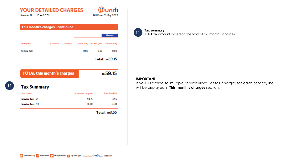## **YOUR DETAILED CHARGES**

**Account No: 1234567890** 

|                                                              |                                   |                          |                       |                          | Ala carte                 |
|--------------------------------------------------------------|-----------------------------------|--------------------------|-----------------------|--------------------------|---------------------------|
| Description                                                  | Start Date                        | <b>End Date</b>          |                       | Gross (RM) Discount (RM) | Amount (RM)               |
| <b>National Calls</b>                                        | $\overline{\phantom{a}}$          | $\overline{\phantom{a}}$ | 0.00                  | 0.00                     | 0.00                      |
|                                                              |                                   |                          |                       |                          |                           |
|                                                              | <b>TOTAL this month's charges</b> |                          |                       |                          | Total: RM59.15<br>RM59.15 |
|                                                              |                                   |                          |                       |                          |                           |
|                                                              |                                   |                          | Total Before Tax (RM) |                          | Total Tax (RM)            |
| <b>Tax Summary</b><br>Description<br><b>Service Tax - ST</b> |                                   |                          |                       | 59.15                    | 3.55                      |

ולוחנ

Bill Date: 01 May 2022

#### **Tax summary**

**Total tax summary**<br> **11** Total tax amount based on the total of this month's charges.

#### **IMPORTANT**

If you subscribe to multiple services/lines, detail charges for each service/line will be displayed in **This month's charges** section. **11**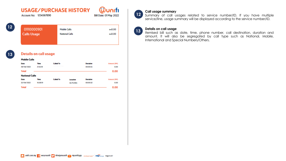# **USAGE/PURCHASE HISTORY**

**Account No: 1234567890** 

| umn               |  |
|-------------------|--|
| Date: 01 May 2022 |  |

RMO.00

RMO.00

Bill



# 01110000901

**Calls Usage** 

**Mobile Calls National Calls** 

## **13**

## **Details on call usage**

| <b>Mobile Calls</b>   |          |                  |                 |                 |             |
|-----------------------|----------|------------------|-----------------|-----------------|-------------|
| Date                  | Time     | <b>Called To</b> |                 | Duration        | Amount (RM) |
| 29/04/2022            | 21:55:18 |                  |                 | 00:00:55        | 0.00        |
| <b>Total</b>          |          |                  |                 |                 | 0.00        |
| <b>National Calls</b> |          |                  |                 |                 |             |
| Date                  | Time     | <b>Called To</b> | Location        | <b>Duration</b> | Amount (RM) |
| 22/04/2022            | 16:38:19 |                  | <b>SG PLONG</b> | 00:00:32        | 0.00        |
| <b>Total</b>          |          |                  |                 |                 | 0.00        |

#### **Call usage summary**

**12** Summary of call usages related to service number/ID. If you have multiple service/line, usage summary will be displayed according to the service number/ID.

## **<sup>13</sup> Details on call usage**

Itemised bill such as date, time, phone number, call destination, duration and amount. It will also be segregated by call type such as National, Mobile, International and Special Numbers/Others.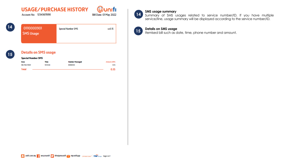# **USAGE/PURCHASE HISTORY**

**Account No: 1234567890** 



| $\overline{14}$ | 01110000901<br><b>SMS Usage</b> | <b>Special Number SMS</b> | вн0.15 |
|-----------------|---------------------------------|---------------------------|--------|
|                 |                                 |                           |        |

## **15**

#### **Details on SMS usage**

#### **Special Number SMS**

| Date         | Time    | <b>Number Messaged</b> | Amount (RM) |
|--------------|---------|------------------------|-------------|
| 06/04/2022   | 1315:54 | 6066555                | 0.15        |
| <b>Total</b> |         |                        | 0.15        |

#### **SMS usage summary**

 $(14)$ Summary of SMS usages related to service number/ID. If you have multiple service/line, usage summary will be displayed according to the service number/ID.

## **<sup>15</sup> Details on SMS usage**

Itemised bill such as date, time, phone number and amount.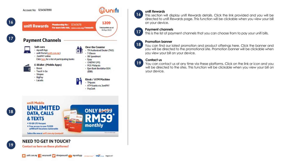

#### **unifi Rewards**

**16**

**18**

**19**

This section will display unifi Rewards details. Click the link provided and you will be directed to unifi Rewards page. This function will be clickable when you view your bill on your device.

## **17 Payment channels**<br>This is the list of pay

This is the list of payment channels that you can choose from to pay your unifi bills.

#### **Promotion banner**

You can find our latest promotion and product offerings here. Click the banner and you will be directed to the promotional site. Promotion banner will be clickable when you view your bill on your device.

#### **Contact us**

You can contact us at any time via these platforms. Click on the link or icon and you will be directed to the sites. This function will be clickable when you view your bill on your device.